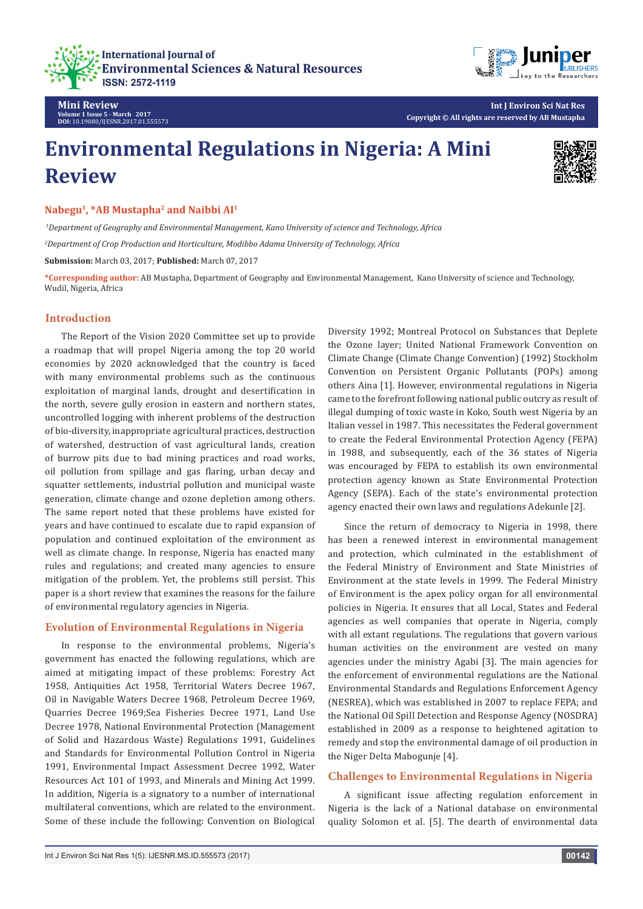



**Int J Environ Sci Nat Res Copyright © All rights are reserved by AB Mustapha**

# **Environmental Regulations in Nigeria: A Mini Review**



**Nabegu1, \*AB Mustapha2 and Naibbi AI1**

 *1Department of Geography and Environmental Management, Kano University of science and Technology, Africa*

*2 Department of Crop Production and Horticulture, Modibbo Adama University of Technology, Africa*

**Submission:** March 03, 2017; **Published:** March 07, 2017

**\*Corresponding author:** AB Mustapha, Department of Geography and Environmental Management, Kano University of science and Technology, Wudil, Nigeria, Africa

## **Introduction**

**Mini Review**

**Volume 1 Issue 5 - March 2017 DOI:** [10.19080/IJESNR.2017.01.555573](http://dx.doi.org/10.19080/IJESNR.2017.01.555573
)

The Report of the Vision 2020 Committee set up to provide a roadmap that will propel Nigeria among the top 20 world economies by 2020 acknowledged that the country is faced with many environmental problems such as the continuous exploitation of marginal lands, drought and desertification in the north, severe gully erosion in eastern and northern states, uncontrolled logging with inherent problems of the destruction of bio-diversity, inappropriate agricultural practices, destruction of watershed, destruction of vast agricultural lands, creation of burrow pits due to bad mining practices and road works, oil pollution from spillage and gas flaring, urban decay and squatter settlements, industrial pollution and municipal waste generation, climate change and ozone depletion among others. The same report noted that these problems have existed for years and have continued to escalate due to rapid expansion of population and continued exploitation of the environment as well as climate change. In response, Nigeria has enacted many rules and regulations; and created many agencies to ensure mitigation of the problem. Yet, the problems still persist. This paper is a short review that examines the reasons for the failure of environmental regulatory agencies in Nigeria.

### **Evolution of Environmental Regulations in Nigeria**

In response to the environmental problems, Nigeria's government has enacted the following regulations, which are aimed at mitigating impact of these problems: Forestry Act 1958, Antiquities Act 1958, Territorial Waters Decree 1967, Oil in Navigable Waters Decree 1968, Petroleum Decree 1969, Quarries Decree 1969;Sea Fisheries Decree 1971, Land Use Decree 1978, National Environmental Protection (Management of Solid and Hazardous Waste) Regulations 1991, Guidelines and Standards for Environmental Pollution Control in Nigeria 1991, Environmental Impact Assessment Decree 1992, Water Resources Act 101 of 1993, and Minerals and Mining Act 1999. In addition, Nigeria is a signatory to a number of international multilateral conventions, which are related to the environment. Some of these include the following: Convention on Biological Diversity 1992; Montreal Protocol on Substances that Deplete the Ozone layer; United National Framework Convention on Climate Change (Climate Change Convention) (1992) Stockholm Convention on Persistent Organic Pollutants (POPs) among others Aina [1]. However, environmental regulations in Nigeria came to the forefront following national public outcry as result of illegal dumping of toxic waste in Koko, South west Nigeria by an Italian vessel in 1987. This necessitates the Federal government to create the Federal Environmental Protection Agency (FEPA) in 1988, and subsequently, each of the 36 states of Nigeria was encouraged by FEPA to establish its own environmental protection agency known as State Environmental Protection Agency (SEPA). Each of the state's environmental protection agency enacted their own laws and regulations Adekunle [2].

Since the return of democracy to Nigeria in 1998, there has been a renewed interest in environmental management and protection, which culminated in the establishment of the Federal Ministry of Environment and State Ministries of Environment at the state levels in 1999. The Federal Ministry of Environment is the apex policy organ for all environmental policies in Nigeria. It ensures that all Local, States and Federal agencies as well companies that operate in Nigeria, comply with all extant regulations. The regulations that govern various human activities on the environment are vested on many agencies under the ministry Agabi [3]. The main agencies for the enforcement of environmental regulations are the National Environmental Standards and Regulations Enforcement Agency (NESREA), which was established in 2007 to replace FEPA; and the National Oil Spill Detection and Response Agency (NOSDRA) established in 2009 as a response to heightened agitation to remedy and stop the environmental damage of oil production in the Niger Delta Mabogunje [4].

## **Challenges to Environmental Regulations in Nigeria**

A significant issue affecting regulation enforcement in Nigeria is the lack of a National database on environmental quality Solomon et al. [5]. The dearth of environmental data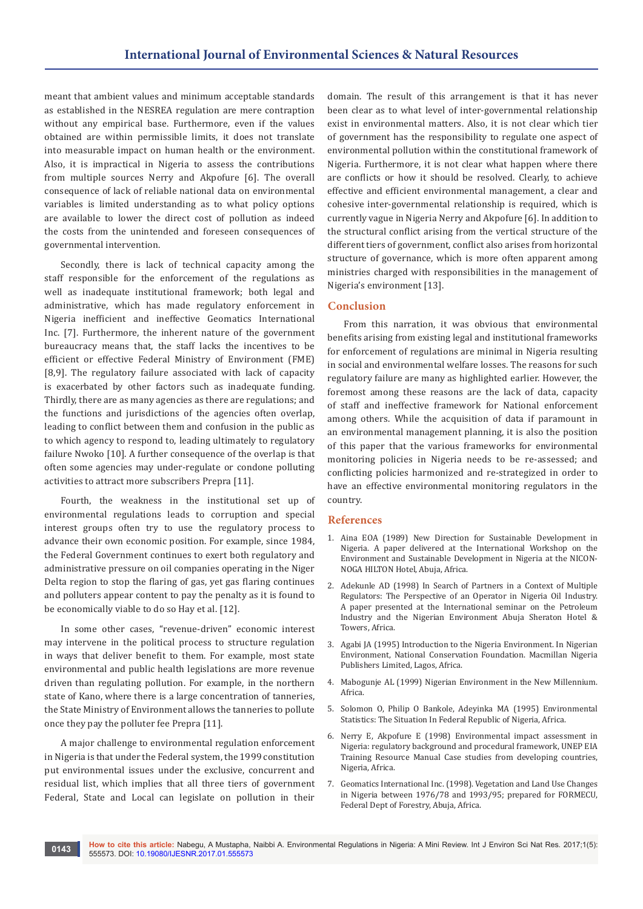meant that ambient values and minimum acceptable standards as established in the NESREA regulation are mere contraption without any empirical base. Furthermore, even if the values obtained are within permissible limits, it does not translate into measurable impact on human health or the environment. Also, it is impractical in Nigeria to assess the contributions from multiple sources Nerry and Akpofure [6]. The overall consequence of lack of reliable national data on environmental variables is limited understanding as to what policy options are available to lower the direct cost of pollution as indeed the costs from the unintended and foreseen consequences of governmental intervention.

Secondly, there is lack of technical capacity among the staff responsible for the enforcement of the regulations as well as inadequate institutional framework; both legal and administrative, which has made regulatory enforcement in Nigeria inefficient and ineffective Geomatics International Inc. [7]. Furthermore, the inherent nature of the government bureaucracy means that, the staff lacks the incentives to be efficient or effective Federal Ministry of Environment (FME) [8,9]. The regulatory failure associated with lack of capacity is exacerbated by other factors such as inadequate funding. Thirdly, there are as many agencies as there are regulations; and the functions and jurisdictions of the agencies often overlap, leading to conflict between them and confusion in the public as to which agency to respond to, leading ultimately to regulatory failure Nwoko [10]. A further consequence of the overlap is that often some agencies may under-regulate or condone polluting activities to attract more subscribers Prepra [11].

Fourth, the weakness in the institutional set up of environmental regulations leads to corruption and special interest groups often try to use the regulatory process to advance their own economic position. For example, since 1984, the Federal Government continues to exert both regulatory and administrative pressure on oil companies operating in the Niger Delta region to stop the flaring of gas, yet gas flaring continues and polluters appear content to pay the penalty as it is found to be economically viable to do so Hay et al. [12].

In some other cases, "revenue-driven" economic interest may intervene in the political process to structure regulation in ways that deliver benefit to them. For example, most state environmental and public health legislations are more revenue driven than regulating pollution. For example, in the northern state of Kano, where there is a large concentration of tanneries, the State Ministry of Environment allows the tanneries to pollute once they pay the polluter fee Prepra [11].

A major challenge to environmental regulation enforcement in Nigeria is that under the Federal system, the 1999 constitution put environmental issues under the exclusive, concurrent and residual list, which implies that all three tiers of government Federal, State and Local can legislate on pollution in their

domain. The result of this arrangement is that it has never been clear as to what level of inter-governmental relationship exist in environmental matters. Also, it is not clear which tier of government has the responsibility to regulate one aspect of environmental pollution within the constitutional framework of Nigeria. Furthermore, it is not clear what happen where there are conflicts or how it should be resolved. Clearly, to achieve effective and efficient environmental management, a clear and cohesive inter-governmental relationship is required, which is currently vague in Nigeria Nerry and Akpofure [6]. In addition to the structural conflict arising from the vertical structure of the different tiers of government, conflict also arises from horizontal structure of governance, which is more often apparent among ministries charged with responsibilities in the management of Nigeria's environment [13].

### **Conclusion**

From this narration, it was obvious that environmental benefits arising from existing legal and institutional frameworks for enforcement of regulations are minimal in Nigeria resulting in social and environmental welfare losses. The reasons for such regulatory failure are many as highlighted earlier. However, the foremost among these reasons are the lack of data, capacity of staff and ineffective framework for National enforcement among others. While the acquisition of data if paramount in an environmental management planning, it is also the position of this paper that the various frameworks for environmental monitoring policies in Nigeria needs to be re-assessed; and conflicting policies harmonized and re-strategized in order to have an effective environmental monitoring regulators in the country.

#### **References**

- 1. Aina EOA (1989) New Direction for Sustainable Development in Nigeria. A paper delivered at the International Workshop on the Environment and Sustainable Development in Nigeria at the NICON-NOGA HILTON Hotel, Abuja, Africa.
- 2. Adekunle AD (1998) In Search of Partners in a Context of Multiple Regulators: The Perspective of an Operator in Nigeria Oil Industry. A paper presented at the International seminar on the Petroleum Industry and the Nigerian Environment Abuja Sheraton Hotel & Towers, Africa.
- 3. Agabi JA (1995) Introduction to the Nigeria Environment. In Nigerian Environment, National Conservation Foundation. Macmillan Nigeria Publishers Limited, Lagos, Africa.
- 4. Mabogunje AL (1999) Nigerian Environment in the New Millennium. Africa.
- 5. [Solomon O, Philip O Bankole, Adeyinka MA \(1995\) Environmental](https://unstats.un.org/unsd/ENVIRONMENT/session152env.pdf)  [Statistics: The Situation In Federal Republic of Nigeria, Africa.](https://unstats.un.org/unsd/ENVIRONMENT/session152env.pdf)
- 6. [Nerry E, Akpofure E \(1998\) Environmental impact assessment in](http://unep.ch/etu/publications/14)%2063%20to%2074.pdf)  [Nigeria: regulatory background and procedural framework, UNEP EIA](http://unep.ch/etu/publications/14)%2063%20to%2074.pdf)  [Training Resource Manual Case studies from developing countries,](http://unep.ch/etu/publications/14)%2063%20to%2074.pdf)  [Nigeria, Africa.](http://unep.ch/etu/publications/14)%2063%20to%2074.pdf)
- 7. [Geomatics International Inc. \(1998\). Vegetation and Land Use Changes](http://documents.worldbank.org/curated/en/611631468291342228/The-assessment-of-vegetation-and-land-use-changes-in-Nigeria-between-1976-78-and-1993-95)  [in Nigeria between 1976/78 and 1993/95; prepared for FORMECU,](http://documents.worldbank.org/curated/en/611631468291342228/The-assessment-of-vegetation-and-land-use-changes-in-Nigeria-between-1976-78-and-1993-95)  [Federal Dept of Forestry, Abuja, Africa.](http://documents.worldbank.org/curated/en/611631468291342228/The-assessment-of-vegetation-and-land-use-changes-in-Nigeria-between-1976-78-and-1993-95)